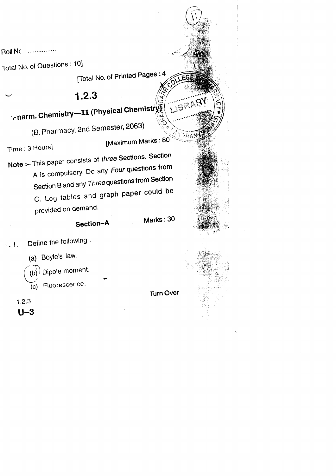Roll Nc ................

Total No. of Questions : 10]

[Total No. of Printed Pages: 4

## $1.2.3$

## **Tram. Chemistry-II (Physical Chemistry)**

(B. Pharmacy, 2nd Semester, 2063)

[Maximum Marks: 80

LIBRARY

Time: 3 Hours]

 $1.2.3$  $U-3$ 

Note :- This paper consists of three Sections. Section A is compulsory. Do any Four questions from Section B and any Three questions from Section C. Log tables and graph paper could be provided on demand.

## Section-A

Define the following:  $\sim$  1.

(a) Boyle's law.

 $(b)$  Dipole moment.

(c) Fluorescence.

**Turn Over** 

Marks: 30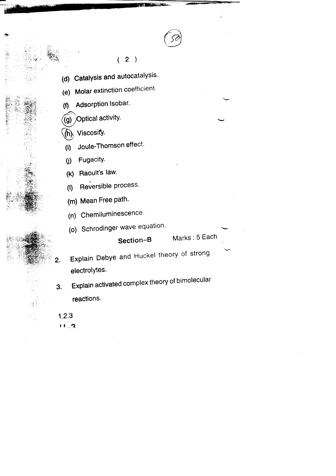- $2)$ t (d) Catalysis and autocatalysis. Molar extinction coefficient.  $(e)$ Adsorption Isobar.  $($ f $)$ (g) Optical activity.  $(h)$  Viscosity. Joule-Thomson effect.  $(i)$ Fugacity.  $(i)$ (k) Raoult's law. Reversible process.  $(1)$ (m) Mean Free path. (n) Chemiluminescence. (o) Schrodinger wave equation. Marks: 5 Each Section-B
- Explain Debye and Huckel theory of strong  $\overline{2}$ . electrolytes.

Explain activated complex theory of bimolecular 3.

reactions.

- $1.2.3$
- $11.2$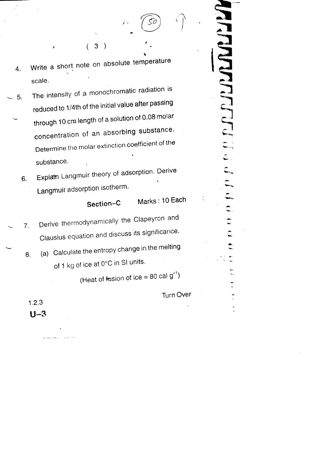Write a short note on absolute temperature 4. scale.

 $(3)$ 

- The intensity of a monochromatic radiation is  $\sim$  5. reduced to 1/4th of the initial value after passing through 10 cm length of a solution of 0.08 molar concentration of an absorbing substance. Determine the molar extinction coefficient of the substance.  $\ddot{\phantom{0}}$ 
	- Explain Langmuir theory of adsorption. Derive 6. Langmuir adsorption isotherm.

## Marks: 10 Each Section-C

- Derive thermodynamically the Clapeyron and 7. Clausius equation and discuss its significance.
	- (a) Calculate the entropy change in the melting 8. of 1 kg of ice at 0°C in SI units.

(Heat of fusion of  $ice = 80$  cal  $g^{-1}$ )

**Turn Over** 

A Andreadar

 $1.2.3$  $U-3$